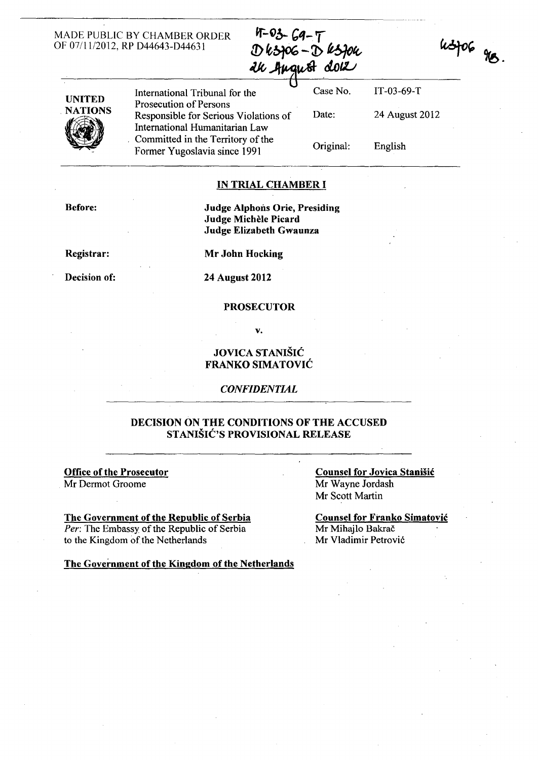#### MADE PUBLIC BY CHAMBER ORDER OF 07/11/2012, RP D44643-D44631

 $4 - 03 - 69 - 7$  $D$   $k$   $306 - D$   $k$   $304$ ak hugust dok



UNITED International Tribunal for the Case No. IT-03-69-T Prosecution of Persons Responsible for Serious Violations of International Humanitarian Law Committed in the Territory of the Former Yugoslavia since 1991 Date: 24 August 2012 Original: English

IN TRIAL CHAMBER I

Before: Judge Alphons Orie, Presiding

Judge Michele Picard Judge Elizabeth Gwaunza

Registrar:

Decision of:

Mr John Hocking

24 August 2012

#### PROSECUTOR

v.

# JOVICA STANIŠiĆ FRANKO SIMATOVIĆ

#### *CONFIDENTIAL*

### DECISION ON THE CONDITIONS OF THE ACCUSED STANIŠIĆ'S PROVISIONAL RELEASE

## Office of the Prosecutor

Mr Dermot Groome

The Government of the Republic of Serbia *Per:* The Embassy of the Republic of Serbia to the Kingdom of the Netherlands

#### Counsel for Jovica Stanišić Mr Wayne lordash Mr Scott Martin

Counsel for Franko Simatović Mr Mihajlo Bakrač Mr Vladimir Petrović

The Government of the Kingdom of the Netherlands

# $u$ spog gro.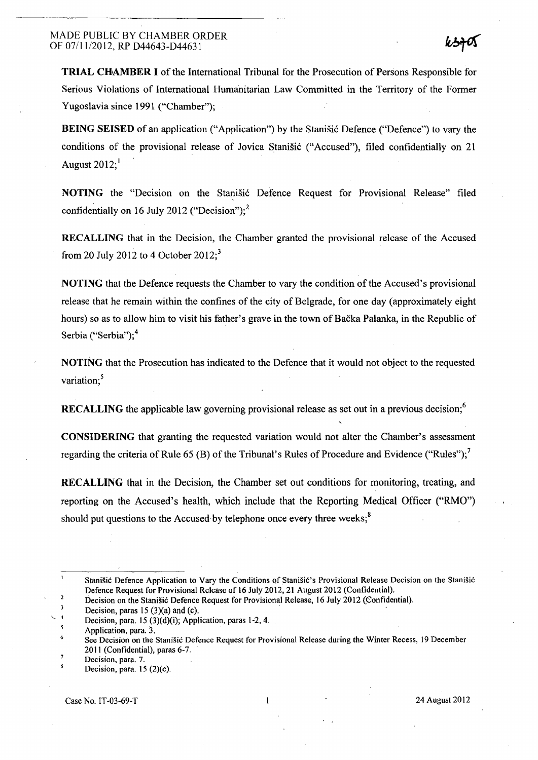TRIAL CHAMBER I of the International Tribunal for the Prosecution of Persons Responsible for Serious Violations of International Humanitarian Law Committed in the Territory of the Former Yugoslavia since 1991 ("Chamber");

BEING SEISED of an application ("Application") by the Stanišić Defence ("Defence") to vary the conditions of the provisional release of Jovica Stanišić ("Accused"), filed confidentially on 21 August  $2012$ ;

NOTING the "Decision on the Stanišić Defence Request for Provisional Release" filed confidentially on 16 July 2012 ("Decision");<sup>2</sup>

RECALLING that in the Decision, the Chamber granted the provisional release of the Accused from 20 July 2012 to 4 October  $2012$ ;<sup>3</sup>

NOTING that the Defence requests the Chamber to vary the condition of the Accused's provisional release that he remain within the confines of the city of Belgrade, for one day (approximately eight hours) so as to allow him to visit his father's grave in the town of Bačka Palanka, in the Republic of Serbia ("Serbia"); 4

NOTING that the Prosecution has indicated to the Defence that it would not object to the requested variation;<sup>5</sup>

RECALLING the applicable law governing provisional release as set out in a previous decision;<sup>6</sup>

CONSIDERING that granting the requested variation would not alter the Chamber's assessment regarding the criteria of Rule 65 (B) of the Tribunal's Rules of Procedure and Evidence ("Rules");<sup>7</sup>

RECALLING that in the Decision, the Chamber set out conditions for monitoring, treating, and reporting on the Accused's health, which include that the Reporting Medical Officer ("RMO") should put questions to the Accused by telephone once every three weeks;<sup>8</sup>

Stanišić Defence Application to Vary the Conditions of Stanišić' s Provisional Release Decision on the Stanišić Defence Request for Provisional Release of 16 July 2012, 21 August 2012 (Confidential).

 $\overline{2}$ Decision on the Stanišić Defence Request for Provisional Release, 16 July 2012 (Confidential).

 $\overline{\mathbf{3}}$ Decision, paras  $15(3)(a)$  and (c).

 $\ddot{ }$ Decision, para. 15 (3)(d)(i); Application, paras 1-2, 4.

Application, para. 3.

<sup>6</sup>  See Decision on the Stanišić Defence Request for Provisional Release during the Winter Recess, 19 December 2011 (Confidential), paras 6-7.

 $\overline{z}$ Decision, para. 7.

<sup>8</sup> Decision, para.  $15 (2)(c)$ .